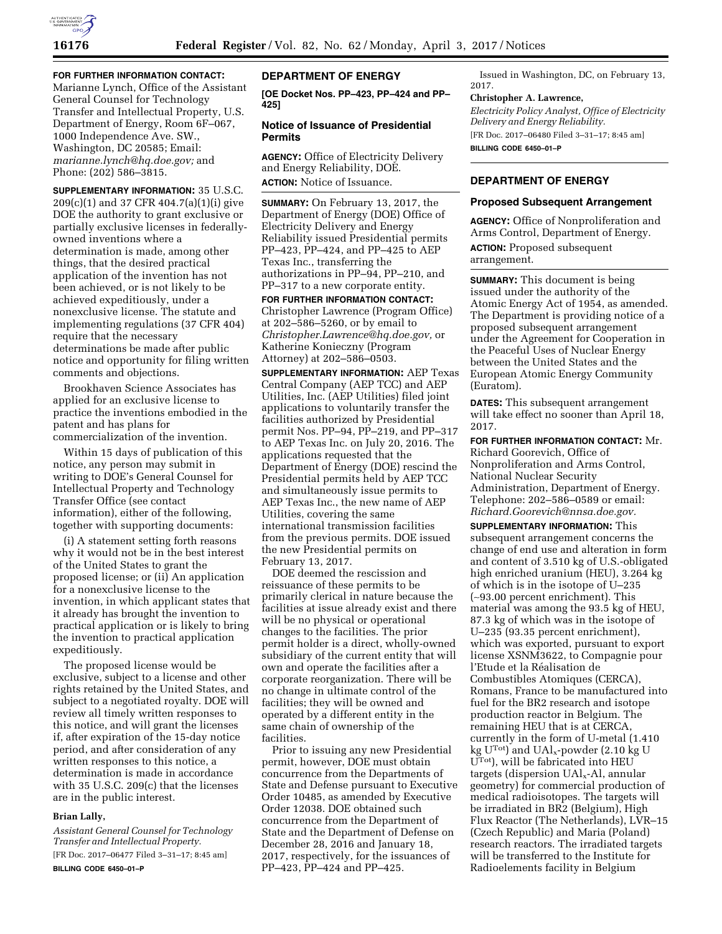

## **FOR FURTHER INFORMATION CONTACT:**

Marianne Lynch, Office of the Assistant General Counsel for Technology Transfer and Intellectual Property, U.S. Department of Energy, Room 6F–067, 1000 Independence Ave. SW., Washington, DC 20585; Email: *[marianne.lynch@hq.doe.gov;](mailto:marianne.lynch@hq.doe.gov)* and Phone: (202) 586–3815.

**SUPPLEMENTARY INFORMATION:** 35 U.S.C. 209(c)(1) and 37 CFR 404.7(a)(1)(i) give DOE the authority to grant exclusive or partially exclusive licenses in federallyowned inventions where a determination is made, among other things, that the desired practical application of the invention has not been achieved, or is not likely to be achieved expeditiously, under a nonexclusive license. The statute and implementing regulations (37 CFR 404) require that the necessary determinations be made after public notice and opportunity for filing written comments and objections.

Brookhaven Science Associates has applied for an exclusive license to practice the inventions embodied in the patent and has plans for commercialization of the invention.

Within 15 days of publication of this notice, any person may submit in writing to DOE's General Counsel for Intellectual Property and Technology Transfer Office (see contact information), either of the following, together with supporting documents:

(i) A statement setting forth reasons why it would not be in the best interest of the United States to grant the proposed license; or (ii) An application for a nonexclusive license to the invention, in which applicant states that it already has brought the invention to practical application or is likely to bring the invention to practical application expeditiously.

The proposed license would be exclusive, subject to a license and other rights retained by the United States, and subject to a negotiated royalty. DOE will review all timely written responses to this notice, and will grant the licenses if, after expiration of the 15-day notice period, and after consideration of any written responses to this notice, a determination is made in accordance with 35 U.S.C. 209(c) that the licenses are in the public interest.

### **Brian Lally,**

*Assistant General Counsel for Technology Transfer and Intellectual Property.*  [FR Doc. 2017–06477 Filed 3–31–17; 8:45 am] **BILLING CODE 6450–01–P** 

# **DEPARTMENT OF ENERGY**

**[OE Docket Nos. PP–423, PP–424 and PP– 425]** 

# **Notice of Issuance of Presidential Permits**

**AGENCY:** Office of Electricity Delivery and Energy Reliability, DOE. **ACTION:** Notice of Issuance.

**SUMMARY:** On February 13, 2017, the Department of Energy (DOE) Office of Electricity Delivery and Energy Reliability issued Presidential permits PP–423, PP–424, and PP–425 to AEP Texas Inc., transferring the authorizations in PP–94, PP–210, and PP–317 to a new corporate entity.

**FOR FURTHER INFORMATION CONTACT:**  Christopher Lawrence (Program Office) at 202–586–5260, or by email to *[Christopher.Lawrence@hq.doe.gov,](mailto:Christopher.Lawrence@hq.doe.gov)* or Katherine Konieczny (Program Attorney) at 202–586–0503.

**SUPPLEMENTARY INFORMATION:** AEP Texas Central Company (AEP TCC) and AEP Utilities, Inc. (AEP Utilities) filed joint applications to voluntarily transfer the facilities authorized by Presidential permit Nos. PP–94, PP–219, and PP–317 to AEP Texas Inc. on July 20, 2016. The applications requested that the Department of Energy (DOE) rescind the Presidential permits held by AEP TCC and simultaneously issue permits to AEP Texas Inc., the new name of AEP Utilities, covering the same international transmission facilities from the previous permits. DOE issued the new Presidential permits on February 13, 2017.

DOE deemed the rescission and reissuance of these permits to be primarily clerical in nature because the facilities at issue already exist and there will be no physical or operational changes to the facilities. The prior permit holder is a direct, wholly-owned subsidiary of the current entity that will own and operate the facilities after a corporate reorganization. There will be no change in ultimate control of the facilities; they will be owned and operated by a different entity in the same chain of ownership of the facilities.

Prior to issuing any new Presidential permit, however, DOE must obtain concurrence from the Departments of State and Defense pursuant to Executive Order 10485, as amended by Executive Order 12038. DOE obtained such concurrence from the Department of State and the Department of Defense on December 28, 2016 and January 18, 2017, respectively, for the issuances of PP–423, PP–424 and PP–425.

Issued in Washington, DC, on February 13, 2017.

#### **Christopher A. Lawrence,**

*Electricity Policy Analyst, Office of Electricity Delivery and Energy Reliability.*  [FR Doc. 2017–06480 Filed 3–31–17; 8:45 am] **BILLING CODE 6450–01–P** 

# **DEPARTMENT OF ENERGY**

### **Proposed Subsequent Arrangement**

**AGENCY:** Office of Nonproliferation and Arms Control, Department of Energy.

**ACTION:** Proposed subsequent arrangement.

**SUMMARY:** This document is being issued under the authority of the Atomic Energy Act of 1954, as amended. The Department is providing notice of a proposed subsequent arrangement under the Agreement for Cooperation in the Peaceful Uses of Nuclear Energy between the United States and the European Atomic Energy Community (Euratom).

**DATES:** This subsequent arrangement will take effect no sooner than April 18, 2017.

**FOR FURTHER INFORMATION CONTACT:** Mr. Richard Goorevich, Office of Nonproliferation and Arms Control, National Nuclear Security Administration, Department of Energy. Telephone: 202–586–0589 or email: *[Richard.Goorevich@nnsa.doe.gov.](mailto:Richard.Goorevich@nnsa.doe.gov)* 

**SUPPLEMENTARY INFORMATION:** This subsequent arrangement concerns the change of end use and alteration in form and content of 3.510 kg of U.S.-obligated high enriched uranium (HEU), 3.264 kg of which is in the isotope of U–235 (∼93.00 percent enrichment). This material was among the 93.5 kg of HEU, 87.3 kg of which was in the isotope of U–235 (93.35 percent enrichment), which was exported, pursuant to export license XSNM3622, to Compagnie pour l'Etude et la Réalisation de Combustibles Atomiques (CERCA), Romans, France to be manufactured into fuel for the BR2 research and isotope production reactor in Belgium. The remaining HEU that is at CERCA, currently in the form of U-metal (1.410 kg U<sup>Tot</sup>) and UAl<sub>x</sub>-powder (2.10 kg U UTot), will be fabricated into HEU targets (dispersion UAlx-Al, annular geometry) for commercial production of medical radioisotopes. The targets will be irradiated in BR2 (Belgium), High Flux Reactor (The Netherlands), LVR–15 (Czech Republic) and Maria (Poland) research reactors. The irradiated targets will be transferred to the Institute for Radioelements facility in Belgium